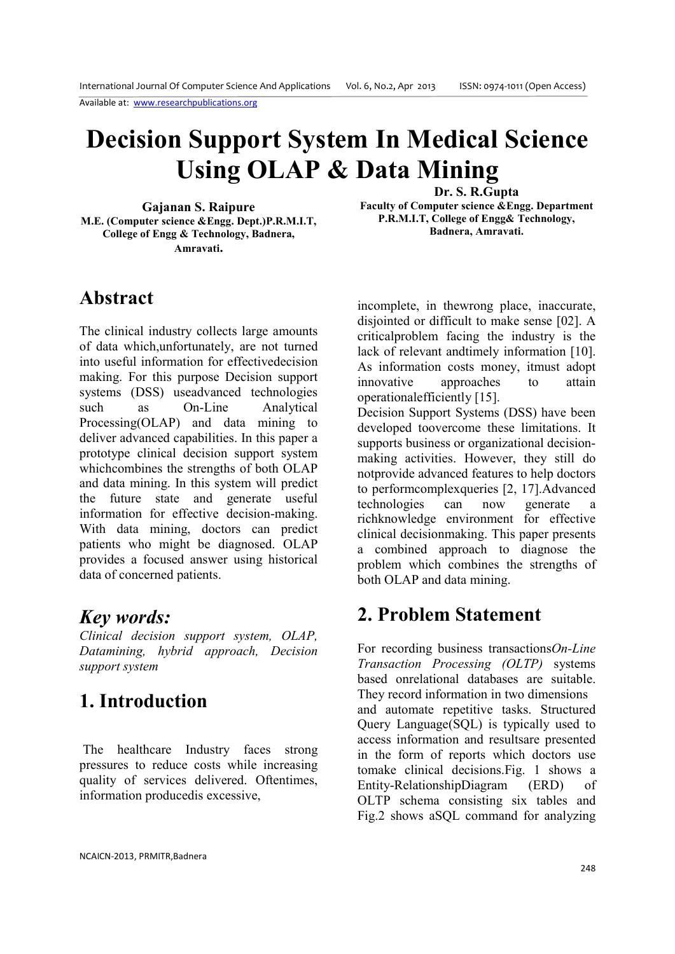# **Decision Support System In Medical Science Using OLAP & Data Mining**

**Gajanan S. Raipure M.E. (Computer science &Engg. Dept.)P.R.M.I.T, College of Engg & Technology, Badnera, Amravati.** 

**Dr. S. R.Gupta Faculty of Computer science &Engg. Department P.R.M.I.T, College of Engg& Technology, Badnera, Amravati.** 

### **Abstract**

The clinical industry collects large amounts of data which,unfortunately, are not turned into useful information for effectivedecision making. For this purpose Decision support systems (DSS) useadvanced technologies such as On-Line Analytical Processing(OLAP) and data mining to deliver advanced capabilities. In this paper a prototype clinical decision support system whichcombines the strengths of both OLAP and data mining. In this system will predict the future state and generate useful information for effective decision-making. With data mining, doctors can predict patients who might be diagnosed. OLAP provides a focused answer using historical data of concerned patients.

### *Key words:*

*Clinical decision support system, OLAP, Datamining, hybrid approach, Decision support system* 

## **1. Introduction**

 The healthcare Industry faces strong pressures to reduce costs while increasing quality of services delivered. Oftentimes, information producedis excessive,

incomplete, in thewrong place, inaccurate, disjointed or difficult to make sense [02]. A criticalproblem facing the industry is the lack of relevant andtimely information [10]. As information costs money, itmust adopt innovative approaches to attain operationalefficiently [15].

Decision Support Systems (DSS) have been developed toovercome these limitations. It supports business or organizational decisionmaking activities. However, they still do notprovide advanced features to help doctors to performcomplexqueries [2, 17]. Advanced<br>technologies can now generate a technologies can now generate a richknowledge environment for effective clinical decisionmaking. This paper presents a combined approach to diagnose the problem which combines the strengths of both OLAP and data mining.

### **2. Problem Statement**

For recording business transactions*On-Line Transaction Processing (OLTP)* systems based onrelational databases are suitable. They record information in two dimensions and automate repetitive tasks. Structured Query Language(SQL) is typically used to access information and resultsare presented in the form of reports which doctors use tomake clinical decisions.Fig. 1 shows a Entity-RelationshipDiagram (ERD) of OLTP schema consisting six tables and Fig.2 shows aSQL command for analyzing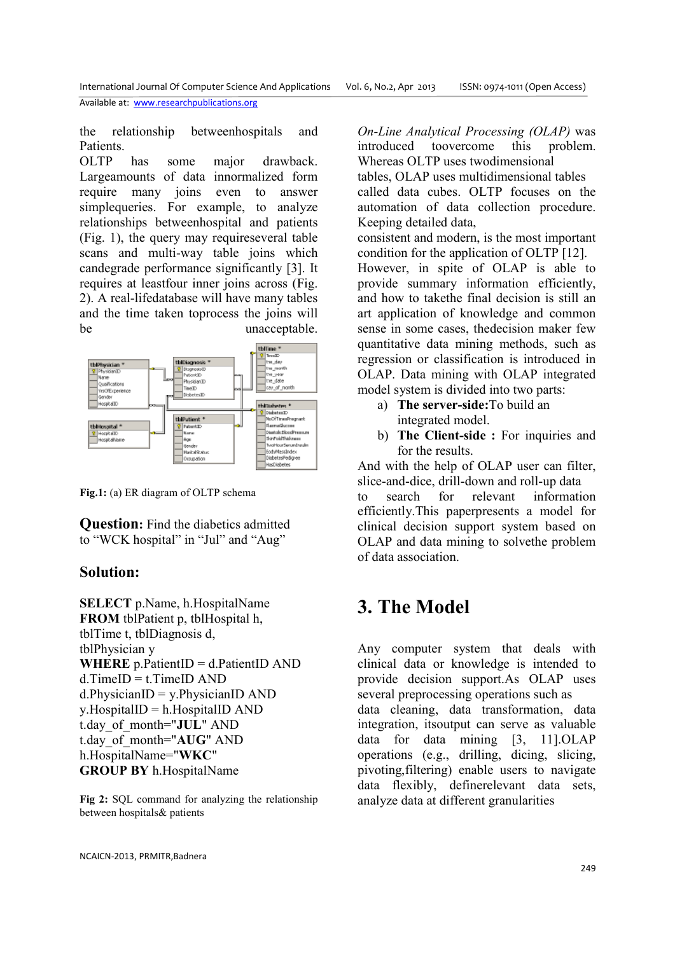the relationship betweenhospitals and **Patients** 

OLTP has some major drawback. Largeamounts of data innormalized form require many joins even to answer simplequeries. For example, to analyze relationships betweenhospital and patients (Fig. 1), the query may requireseveral table scans and multi-way table joins which candegrade performance significantly [3]. It requires at leastfour inner joins across (Fig. 2). A real-lifedatabase will have many tables and the time taken toprocess the joins will be unacceptable.



**Fig.1:** (a) ER diagram of OLTP schema

**Question:** Find the diabetics admitted to "WCK hospital" in "Jul" and "Aug"

#### **Solution:**

**SELECT** p.Name, h.HospitalName **FROM** tblPatient p, tblHospital h, tblTime t, tblDiagnosis d, tblPhysician y **WHERE** p.PatientID = d.PatientID AND  $d$ .TimeID  $=$  t.TimeID AND  $d$ .PhysicianID = y.PhysicianID AND  $y$ . HospitalID = h. HospitalID AND t.day\_of\_month="**JUL**" AND t.day\_of\_month="**AUG**" AND h.HospitalName="**WKC**" **GROUP BY** h.HospitalName

**Fig 2:** SQL command for analyzing the relationship between hospitals& patients

*On-Line Analytical Processing (OLAP)* was introduced toovercome this problem. Whereas OLTP uses twodimensional tables, OLAP uses multidimensional tables called data cubes. OLTP focuses on the automation of data collection procedure. Keeping detailed data,

consistent and modern, is the most important condition for the application of OLTP [12]. However, in spite of OLAP is able to provide summary information efficiently, and how to takethe final decision is still an art application of knowledge and common sense in some cases, thedecision maker few quantitative data mining methods, such as regression or classification is introduced in OLAP. Data mining with OLAP integrated model system is divided into two parts:

- a) **The server-side:**To build an integrated model.
- b) **The Client-side :** For inquiries and for the results.

And with the help of OLAP user can filter, slice-and-dice, drill-down and roll-up data to search for relevant information efficiently.This paperpresents a model for clinical decision support system based on OLAP and data mining to solvethe problem of data association.

## **3. The Model**

Any computer system that deals with clinical data or knowledge is intended to provide decision support.As OLAP uses several preprocessing operations such as data cleaning, data transformation, data integration, itsoutput can serve as valuable data for data mining [3, 11].OLAP operations (e.g., drilling, dicing, slicing, pivoting,filtering) enable users to navigate data flexibly, definerelevant data sets, analyze data at different granularities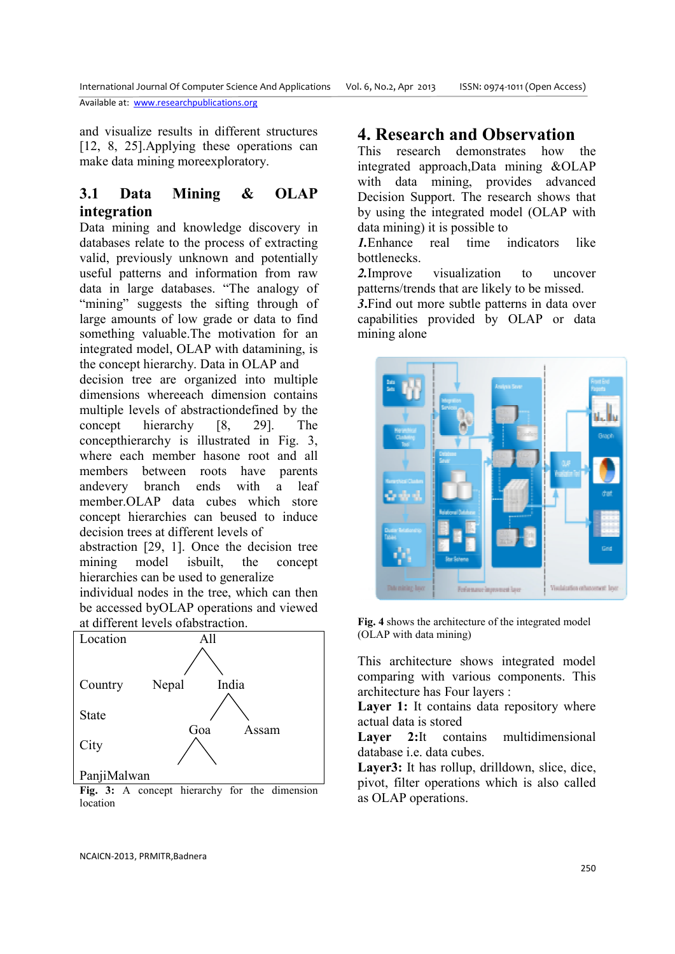and visualize results in different structures [12, 8, 25].Applying these operations can make data mining moreexploratory.

#### **3.1 Data Mining & OLAP integration**

Data mining and knowledge discovery in databases relate to the process of extracting valid, previously unknown and potentially useful patterns and information from raw data in large databases. "The analogy of "mining" suggests the sifting through of large amounts of low grade or data to find something valuable.The motivation for an integrated model, OLAP with datamining, is the concept hierarchy. Data in OLAP and

decision tree are organized into multiple dimensions whereeach dimension contains multiple levels of abstractiondefined by the concept hierarchy [8, 29]. The concepthierarchy is illustrated in Fig. 3, where each member hasone root and all members between roots have parents andevery branch ends with a leaf member.OLAP data cubes which store concept hierarchies can beused to induce decision trees at different levels of

abstraction [29, 1]. Once the decision tree mining model isbuilt, the concept hierarchies can be used to generalize

individual nodes in the tree, which can then be accessed byOLAP operations and viewed at different levels ofabstraction.



**Fig. 3:** A concept hierarchy for the dimension location

### **4. Research and Observation**

This research demonstrates how the integrated approach,Data mining &OLAP with data mining, provides advanced Decision Support. The research shows that by using the integrated model (OLAP with data mining) it is possible to

*1.*Enhance real time indicators like **bottlenecks** 

*2.*Improve visualization to uncover patterns/trends that are likely to be missed.

*3***.**Find out more subtle patterns in data over capabilities provided by OLAP or data mining alone



**Fig. 4** shows the architecture of the integrated model (OLAP with data mining)

This architecture shows integrated model comparing with various components. This architecture has Four layers :

Layer 1: It contains data repository where actual data is stored

Layer 2:<sup>It</sup> contains multidimensional database i.e. data cubes.

**Layer3:** It has rollup, drilldown, slice, dice, pivot, filter operations which is also called as OLAP operations.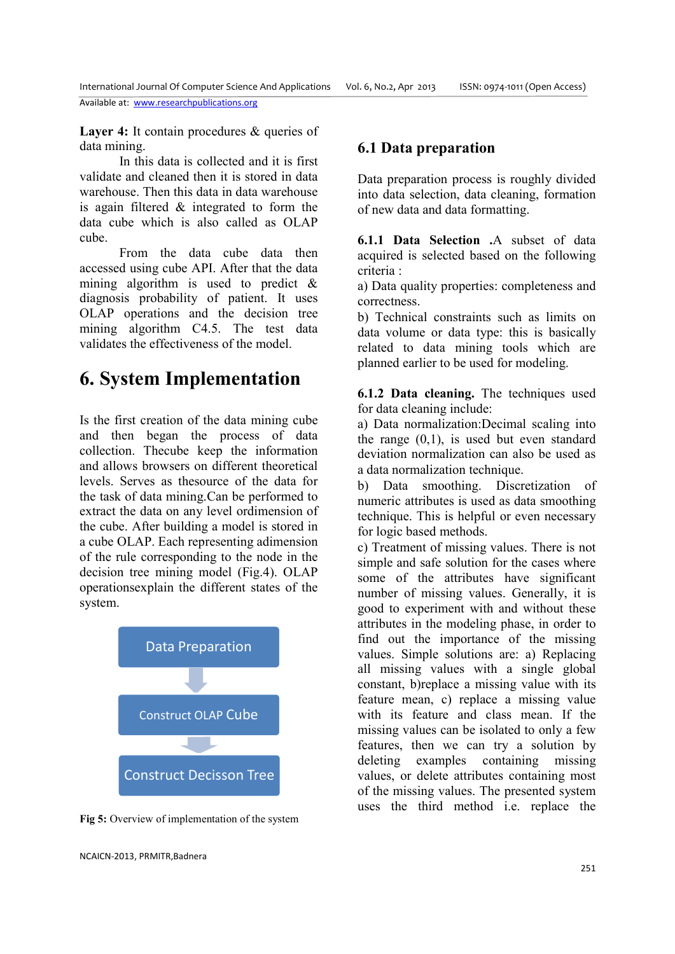**Layer 4:** It contain procedures & queries of data mining.

In this data is collected and it is first validate and cleaned then it is stored in data warehouse. Then this data in data warehouse is again filtered & integrated to form the data cube which is also called as OLAP cube.

 From the data cube data then accessed using cube API. After that the data mining algorithm is used to predict & diagnosis probability of patient. It uses OLAP operations and the decision tree mining algorithm C4.5. The test data validates the effectiveness of the model.

## **6. System Implementation**

Is the first creation of the data mining cube and then began the process of data collection. Thecube keep the information and allows browsers on different theoretical levels. Serves as thesource of the data for the task of data mining.Can be performed to extract the data on any level ordimension of the cube. After building a model is stored in a cube OLAP. Each representing adimension of the rule corresponding to the node in the decision tree mining model (Fig.4). OLAP operationsexplain the different states of the system.



**Fig 5:** Overview of implementation of the system

#### **6.1 Data preparation**

Data preparation process is roughly divided into data selection, data cleaning, formation of new data and data formatting.

**6.1.1 Data Selection .**A subset of data acquired is selected based on the following criteria :

a) Data quality properties: completeness and correctness.

b) Technical constraints such as limits on data volume or data type: this is basically related to data mining tools which are planned earlier to be used for modeling.

**6.1.2 Data cleaning.** The techniques used for data cleaning include:

a) Data normalization:Decimal scaling into the range  $(0,1)$ , is used but even standard deviation normalization can also be used as a data normalization technique.

b) Data smoothing. Discretization of numeric attributes is used as data smoothing technique. This is helpful or even necessary for logic based methods.

c) Treatment of missing values. There is not simple and safe solution for the cases where some of the attributes have significant number of missing values. Generally, it is good to experiment with and without these attributes in the modeling phase, in order to find out the importance of the missing values. Simple solutions are: a) Replacing all missing values with a single global constant, b)replace a missing value with its feature mean, c) replace a missing value with its feature and class mean. If the missing values can be isolated to only a few features, then we can try a solution by deleting examples containing missing values, or delete attributes containing most of the missing values. The presented system uses the third method i.e. replace the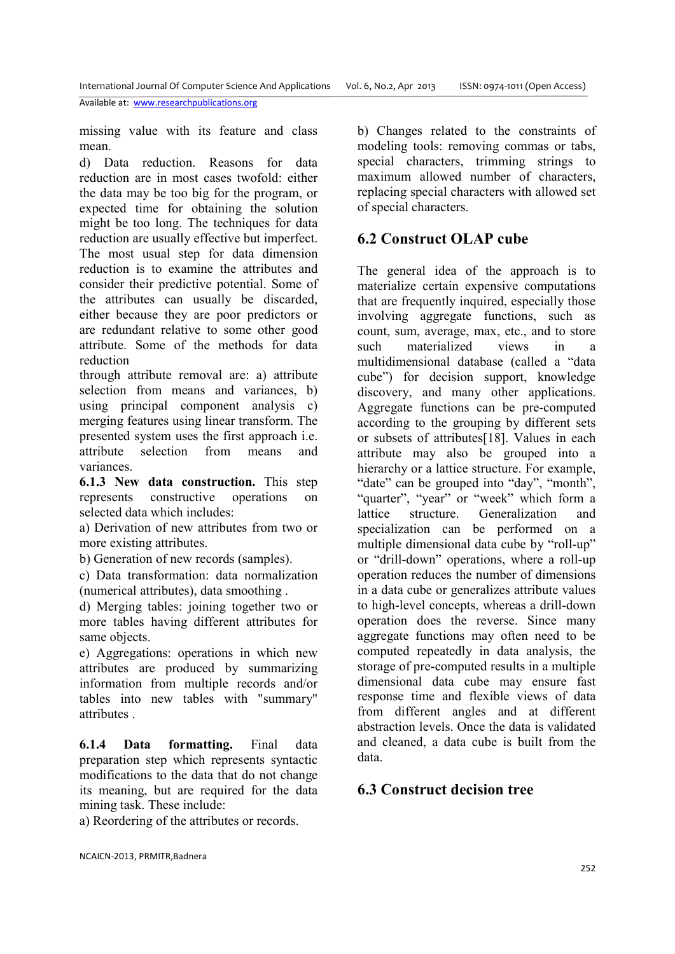missing value with its feature and class mean.

d) Data reduction. Reasons for data reduction are in most cases twofold: either the data may be too big for the program, or expected time for obtaining the solution might be too long. The techniques for data reduction are usually effective but imperfect. The most usual step for data dimension reduction is to examine the attributes and consider their predictive potential. Some of the attributes can usually be discarded, either because they are poor predictors or are redundant relative to some other good attribute. Some of the methods for data reduction

through attribute removal are: a) attribute selection from means and variances, b) using principal component analysis c) merging features using linear transform. The presented system uses the first approach i.e. attribute selection from means and variances.

**6.1.3 New data construction.** This step represents constructive operations on selected data which includes:

a) Derivation of new attributes from two or more existing attributes.

b) Generation of new records (samples).

c) Data transformation: data normalization (numerical attributes), data smoothing .

d) Merging tables: joining together two or more tables having different attributes for same objects.

e) Aggregations: operations in which new attributes are produced by summarizing information from multiple records and/or tables into new tables with "summary" attributes .

**6.1.4 Data formatting.** Final data preparation step which represents syntactic modifications to the data that do not change its meaning, but are required for the data mining task. These include:

a) Reordering of the attributes or records.

b) Changes related to the constraints of modeling tools: removing commas or tabs, special characters, trimming strings to maximum allowed number of characters, replacing special characters with allowed set of special characters.

#### **6.2 Construct OLAP cube**

The general idea of the approach is to materialize certain expensive computations that are frequently inquired, especially those involving aggregate functions, such as count, sum, average, max, etc., and to store such materialized views in a multidimensional database (called a "data cube") for decision support, knowledge discovery, and many other applications. Aggregate functions can be pre-computed according to the grouping by different sets or subsets of attributes[18]. Values in each attribute may also be grouped into a hierarchy or a lattice structure. For example, "date" can be grouped into "day", "month", "quarter", "year" or "week" which form a lattice structure. Generalization and specialization can be performed on a multiple dimensional data cube by "roll-up" or "drill-down" operations, where a roll-up operation reduces the number of dimensions in a data cube or generalizes attribute values to high-level concepts, whereas a drill-down operation does the reverse. Since many aggregate functions may often need to be computed repeatedly in data analysis, the storage of pre-computed results in a multiple dimensional data cube may ensure fast response time and flexible views of data from different angles and at different abstraction levels. Once the data is validated and cleaned, a data cube is built from the data.

#### **6.3 Construct decision tree**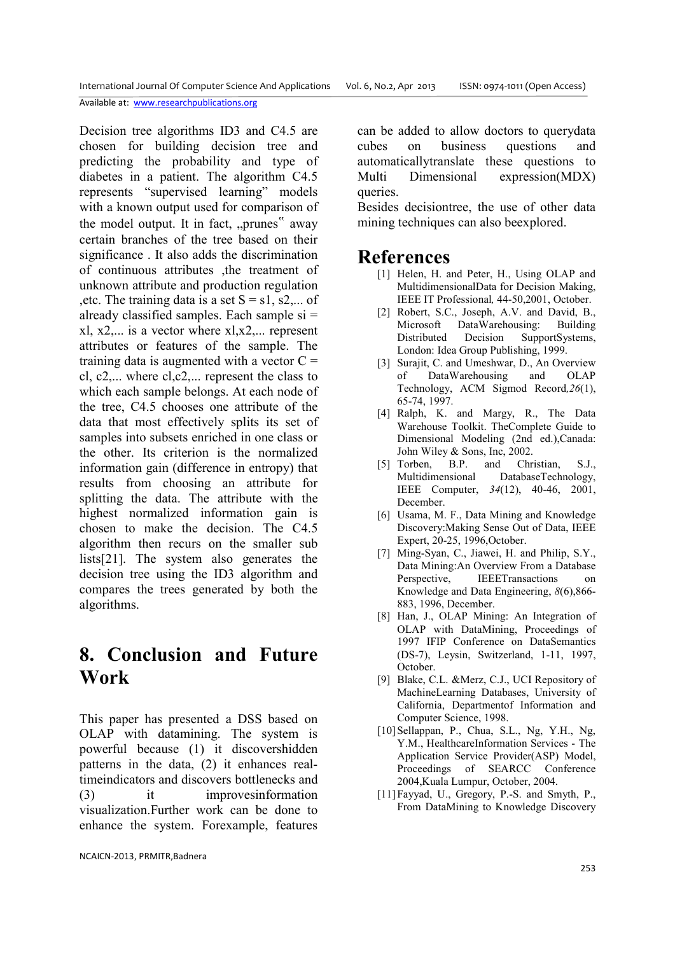Decision tree algorithms ID3 and C4.5 are chosen for building decision tree and predicting the probability and type of diabetes in a patient. The algorithm C4.5 represents "supervised learning" models with a known output used for comparison of the model output. It in fact, "prunes" away certain branches of the tree based on their significance . It also adds the discrimination of continuous attributes ,the treatment of unknown attribute and production regulation , etc. The training data is a set  $S = s1$ , s2,... of already classified samples. Each sample si =  $x$ l,  $x$ 2,... is a vector where  $x$ l, $x$ 2,... represent attributes or features of the sample. The training data is augmented with a vector  $C =$ cl, c2,... where cl,c2,... represent the class to which each sample belongs. At each node of the tree, C4.5 chooses one attribute of the data that most effectively splits its set of samples into subsets enriched in one class or the other. Its criterion is the normalized information gain (difference in entropy) that results from choosing an attribute for splitting the data. The attribute with the highest normalized information gain is chosen to make the decision. The C4.5 algorithm then recurs on the smaller sub lists[21]. The system also generates the decision tree using the ID3 algorithm and compares the trees generated by both the algorithms.

### **8. Conclusion and Future Work**

This paper has presented a DSS based on OLAP with datamining. The system is powerful because (1) it discovershidden patterns in the data, (2) it enhances realtimeindicators and discovers bottlenecks and (3) it improvesinformation visualization.Further work can be done to enhance the system. Forexample, features can be added to allow doctors to querydata cubes on business questions and automaticallytranslate these questions to Multi Dimensional expression(MDX) queries.

Besides decisiontree, the use of other data mining techniques can also beexplored.

#### **References**

- [1] Helen, H. and Peter, H., Using OLAP and MultidimensionalData for Decision Making, IEEE IT Professional*,* 44-50,2001, October.
- [2] Robert, S.C., Joseph, A.V. and David, B., Microsoft DataWarehousing: Building Distributed Decision SupportSystems, London: Idea Group Publishing, 1999.
- [3] Surajit, C. and Umeshwar, D., An Overview of DataWarehousing and OLAP Technology, ACM Sigmod Record*,26*(1), 65-74, 1997.
- [4] Ralph, K. and Margy, R., The Data Warehouse Toolkit. TheComplete Guide to Dimensional Modeling (2nd ed.),Canada: John Wiley & Sons, Inc, 2002.
- [5] Torben, B.P. and Christian, S.J., Multidimensional DatabaseTechnology, IEEE Computer, *34*(12), 40-46, 2001, December.
- [6] Usama, M. F., Data Mining and Knowledge Discovery:Making Sense Out of Data, IEEE Expert, 20-25, 1996,October.
- [7] Ming-Syan, C., Jiawei, H. and Philip, S.Y., Data Mining:An Overview From a Database Perspective, IEEETransactions on Knowledge and Data Engineering, *8*(6),866- 883, 1996, December.
- [8] Han, J., OLAP Mining: An Integration of OLAP with DataMining, Proceedings of 1997 IFIP Conference on DataSemantics (DS-7), Leysin, Switzerland, 1-11, 1997, October.
- [9] Blake, C.L. &Merz, C.J., UCI Repository of MachineLearning Databases, University of California, Departmentof Information and Computer Science, 1998.
- [10] Sellappan, P., Chua, S.L., Ng, Y.H., Ng, Y.M., HealthcareInformation Services - The Application Service Provider(ASP) Model, Proceedings of SEARCC Conference 2004,Kuala Lumpur, October, 2004.
- [11]Fayyad, U., Gregory, P.-S. and Smyth, P., From DataMining to Knowledge Discovery